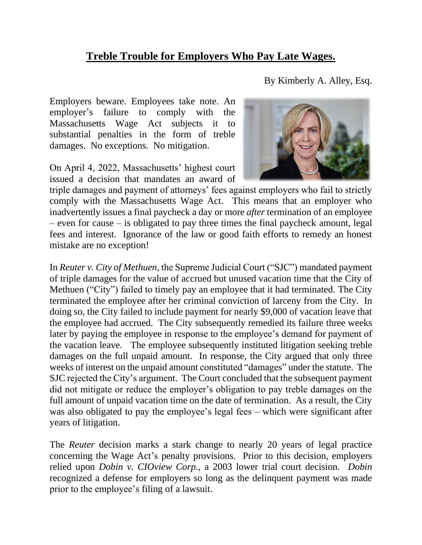## **Treble Trouble for Employers Who Pay Late Wages.**

By Kimberly A. Alley, Esq.

Employers beware. Employees take note. An employer's failure to comply with the Massachusetts Wage Act subjects it to substantial penalties in the form of treble damages. No exceptions. No mitigation.

On April 4, 2022, Massachusetts' highest court issued a decision that mandates an award of



triple damages and payment of attorneys' fees against employers who fail to strictly comply with the Massachusetts Wage Act. This means that an employer who inadvertently issues a final paycheck a day or more *after* termination of an employee – even for cause – is obligated to pay three times the final paycheck amount, legal fees and interest. Ignorance of the law or good faith efforts to remedy an honest mistake are no exception!

In *Reuter v. City of Methuen*, the Supreme Judicial Court ("SJC") mandated payment of triple damages for the value of accrued but unused vacation time that the City of Methuen ("City") failed to timely pay an employee that it had terminated. The City terminated the employee after her criminal conviction of larceny from the City. In doing so, the City failed to include payment for nearly \$9,000 of vacation leave that the employee had accrued. The City subsequently remedied its failure three weeks later by paying the employee in response to the employee's demand for payment of the vacation leave. The employee subsequently instituted litigation seeking treble damages on the full unpaid amount. In response, the City argued that only three weeks of interest on the unpaid amount constituted "damages" under the statute. The SJC rejected the City's argument. The Court concluded that the subsequent payment did not mitigate or reduce the employer's obligation to pay treble damages on the full amount of unpaid vacation time on the date of termination. As a result, the City was also obligated to pay the employee's legal fees – which were significant after years of litigation.

The *Reuter* decision marks a stark change to nearly 20 years of legal practice concerning the Wage Act's penalty provisions. Prior to this decision, employers relied upon *Dobin v. CIOview Corp.*, a 2003 lower trial court decision. *Dobin*  recognized a defense for employers so long as the delinquent payment was made prior to the employee's filing of a lawsuit.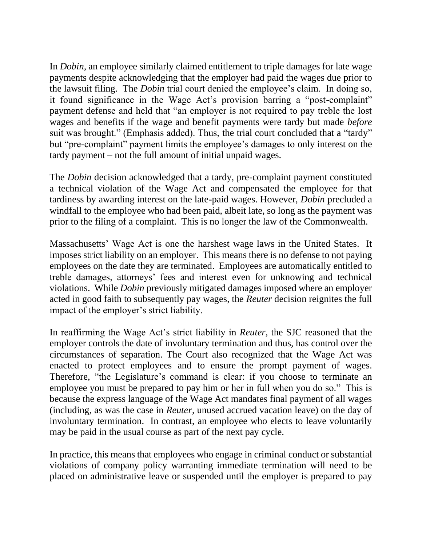In *Dobin*, an employee similarly claimed entitlement to triple damages for late wage payments despite acknowledging that the employer had paid the wages due prior to the lawsuit filing. The *Dobin* trial court denied the employee's claim. In doing so, it found significance in the Wage Act's provision barring a "post-complaint" payment defense and held that "an employer is not required to pay treble the lost wages and benefits if the wage and benefit payments were tardy but made *before* suit was brought." (Emphasis added). Thus, the trial court concluded that a "tardy" but "pre-complaint" payment limits the employee's damages to only interest on the tardy payment – not the full amount of initial unpaid wages.

The *Dobin* decision acknowledged that a tardy, pre-complaint payment constituted a technical violation of the Wage Act and compensated the employee for that tardiness by awarding interest on the late-paid wages. However, *Dobin* precluded a windfall to the employee who had been paid, albeit late, so long as the payment was prior to the filing of a complaint. This is no longer the law of the Commonwealth.

Massachusetts' Wage Act is one the harshest wage laws in the United States. It imposes strict liability on an employer. This means there is no defense to not paying employees on the date they are terminated. Employees are automatically entitled to treble damages, attorneys' fees and interest even for unknowing and technical violations. While *Dobin* previously mitigated damages imposed where an employer acted in good faith to subsequently pay wages, the *Reuter* decision reignites the full impact of the employer's strict liability.

In reaffirming the Wage Act's strict liability in *Reuter*, the SJC reasoned that the employer controls the date of involuntary termination and thus, has control over the circumstances of separation. The Court also recognized that the Wage Act was enacted to protect employees and to ensure the prompt payment of wages. Therefore, "the Legislature's command is clear: if you choose to terminate an employee you must be prepared to pay him or her in full when you do so." This is because the express language of the Wage Act mandates final payment of all wages (including, as was the case in *Reuter,* unused accrued vacation leave) on the day of involuntary termination. In contrast, an employee who elects to leave voluntarily may be paid in the usual course as part of the next pay cycle.

In practice, this means that employees who engage in criminal conduct or substantial violations of company policy warranting immediate termination will need to be placed on administrative leave or suspended until the employer is prepared to pay